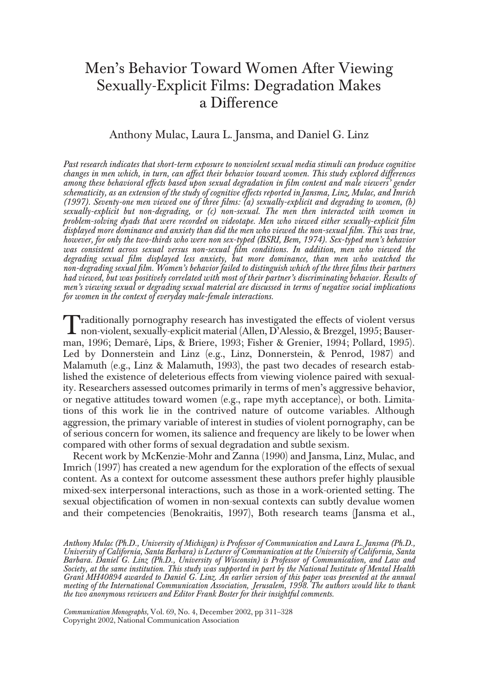# Men's Behavior Toward Women After Viewing Sexually-Explicit Films: Degradation Makes a Difference

# Anthony Mulac, Laura L. Jansma, and Daniel G. Linz

*Past research indicates that short-term exposure to nonviolent sexual media stimuli can produce cognitive changes in men which, in turn, can affect their behavior toward women. This study explored differences among these behavioral effects based upon sexual degradation in film content and male viewers' gender schematicity, as an extension of the study of cognitive effects reported in Jansma, Linz, Mulac, and Imrich (1997). Seventy-one men viewed one of three films: (a) sexually-explicit and degrading to women, (b) sexually-explicit but non-degrading, or (c) non-sexual. The men then interacted with women in problem-solving dyads that were recorded on videotape. Men who viewed either sexually-explicit film displayed more dominance and anxiety than did the men who viewed the non-sexual film. This was true, however, for only the two-thirds who were non sex-typed (BSRI, Bem, 1974). Sex-typed men's behavior was consistent across sexual versus non-sexual film conditions. In addition, men who viewed the degrading sexual film displayed less anxiety, but more dominance, than men who watched the non-degrading sexual film. Women's behavior failed to distinguish which of the three films their partners had viewed, but was positively correlated with most of their partner's discriminating behavior. Results of men's viewing sexual or degrading sexual material are discussed in terms of negative social implications for women in the context of everyday male-female interactions.*

Traditionally pornography research has investigated the effects of violent versus<br>non-violent, sexually-explicit material (Allen, D'Alessio, & Brezgel, 1995; Bauser-<br>non-1006; Demani, Line, & Britan, 1002; Eishan & Granian man, 1996; Demaré, Lips, & Briere, 1993; Fisher & Grenier, 1994; Pollard, 1995). Led by Donnerstein and Linz (e.g., Linz, Donnerstein, & Penrod, 1987) and Malamuth (e.g., Linz & Malamuth, 1993), the past two decades of research established the existence of deleterious effects from viewing violence paired with sexuality. Researchers assessed outcomes primarily in terms of men's aggressive behavior, or negative attitudes toward women (e.g., rape myth acceptance), or both. Limitations of this work lie in the contrived nature of outcome variables. Although aggression, the primary variable of interest in studies of violent pornography, can be of serious concern for women, its salience and frequency are likely to be lower when compared with other forms of sexual degradation and subtle sexism.

Recent work by McKenzie-Mohr and Zanna (1990) and Jansma, Linz, Mulac, and Imrich (1997) has created a new agendum for the exploration of the effects of sexual content. As a context for outcome assessment these authors prefer highly plausible mixed-sex interpersonal interactions, such as those in a work-oriented setting. The sexual objectification of women in non-sexual contexts can subtly devalue women and their competencies (Benokraitis, 1997), Both research teams (Jansma et al.,

*Anthony Mulac (Ph.D., University of Michigan) is Professor of Communication and Laura L. Jansma (Ph.D., University of California, Santa Barbara) is Lecturer of Communication at the University of California, Santa Barbara. Daniel G. Linz (Ph.D., University of Wisconsin) is Professor of Communication, and Law and Society, at the same institution. This study was supported in part by the National Institute of Mental Health Grant MH40894 awarded to Daniel G. Linz. An earlier version of this paper was presented at the annual meeting of the International Communication Association, Jerusalem, 1998. The authors would like to thank the two anonymous reviewers and Editor Frank Boster for their insightful comments.*

*Communication Monographs,* Vol. 69, No. 4, December 2002, pp 311–328 Copyright 2002, National Communication Association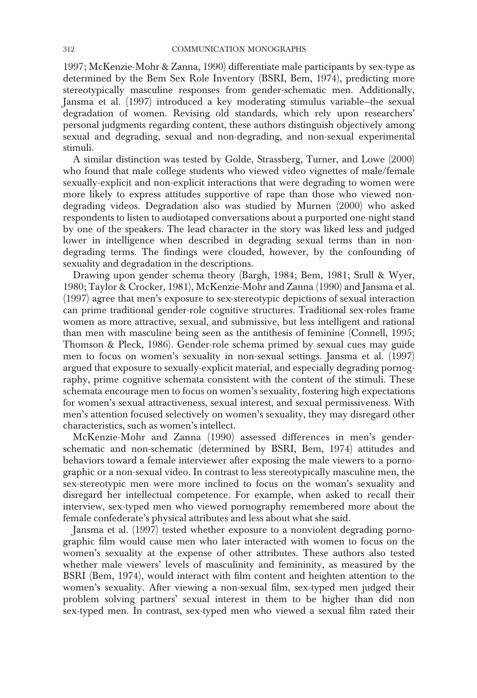1997; McKenzie-Mohr & Zanna, 1990) differentiate male participants by sex-type as determined by the Bem Sex Role Inventory (BSRI, Bem, 1974), predicting more stereotypically masculine responses from gender-schematic men. Additionally, Jansma et al. (1997) introduced a key moderating stimulus variable—the sexual degradation of women. Revising old standards, which rely upon researchers' personal judgments regarding content, these authors distinguish objectively among sexual and degrading, sexual and non-degrading, and non-sexual experimental stimuli.

A similar distinction was tested by Golde, Strassberg, Turner, and Lowe (2000) who found that male college students who viewed video vignettes of male/female sexually-explicit and non-explicit interactions that were degrading to women were more likely to express attitudes supportive of rape than those who viewed nondegrading videos. Degradation also was studied by Murnen (2000) who asked respondents to listen to audiotaped conversations about a purported one-night stand by one of the speakers. The lead character in the story was liked less and judged lower in intelligence when described in degrading sexual terms than in nondegrading terms. The findings were clouded, however, by the confounding of sexuality and degradation in the descriptions.

Drawing upon gender schema theory (Bargh, 1984; Bem, 1981; Srull & Wyer, 1980; Taylor & Crocker, 1981), McKenzie-Mohr and Zanna (1990) and Jansma et al. (1997) agree that men's exposure to sex-stereotypic depictions of sexual interaction can prime traditional gender-role cognitive structures. Traditional sex-roles frame women as more attractive, sexual, and submissive, but less intelligent and rational than men with masculine being seen as the antithesis of feminine (Connell, 1995; Thomson & Pleck, 1986). Gender-role schema primed by sexual cues may guide men to focus on women's sexuality in non-sexual settings. Jansma et al. (1997) argued that exposure to sexually-explicit material, and especially degrading pornography, prime cognitive schemata consistent with the content of the stimuli. These schemata encourage men to focus on women's sexuality, fostering high expectations for women's sexual attractiveness, sexual interest, and sexual permissiveness. With men's attention focused selectively on women's sexuality, they may disregard other characteristics, such as women's intellect.

McKenzie-Mohr and Zanna (1990) assessed differences in men's genderschematic and non-schematic (determined by BSRI, Bem, 1974) attitudes and behaviors toward a female interviewer after exposing the male viewers to a pornographic or a non-sexual video. In contrast to less stereotypically masculine men, the sex-stereotypic men were more inclined to focus on the woman's sexuality and disregard her intellectual competence. For example, when asked to recall their interview, sex-typed men who viewed pornography remembered more about the female confederate's physical attributes and less about what she said.

Jansma et al. (1997) tested whether exposure to a nonviolent degrading pornographic film would cause men who later interacted with women to focus on the women's sexuality at the expense of other attributes. These authors also tested whether male viewers' levels of masculinity and femininity, as measured by the BSRI (Bem, 1974), would interact with film content and heighten attention to the women's sexuality. After viewing a non-sexual film, sex-typed men judged their problem solving partners' sexual interest in them to be higher than did non sex-typed men. In contrast, sex-typed men who viewed a sexual film rated their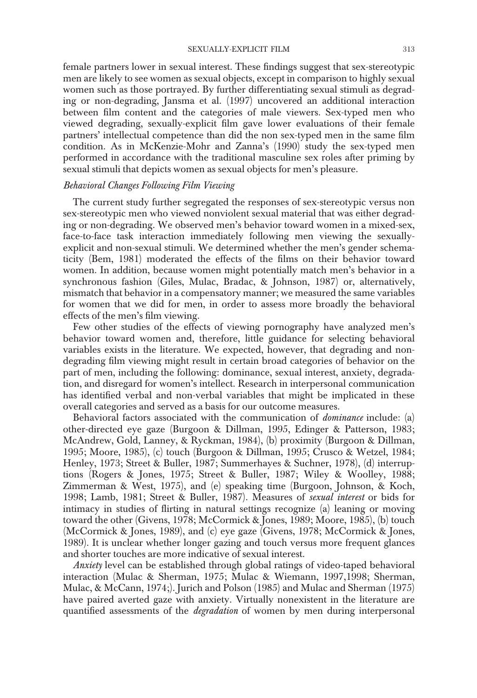female partners lower in sexual interest. These findings suggest that sex-stereotypic men are likely to see women as sexual objects, except in comparison to highly sexual women such as those portrayed. By further differentiating sexual stimuli as degrading or non-degrading, Jansma et al. (1997) uncovered an additional interaction between film content and the categories of male viewers. Sex-typed men who viewed degrading, sexually-explicit film gave lower evaluations of their female partners' intellectual competence than did the non sex-typed men in the same film condition. As in McKenzie-Mohr and Zanna's (1990) study the sex-typed men performed in accordance with the traditional masculine sex roles after priming by sexual stimuli that depicts women as sexual objects for men's pleasure.

## *Behavioral Changes Following Film Viewing*

The current study further segregated the responses of sex-stereotypic versus non sex-stereotypic men who viewed nonviolent sexual material that was either degrading or non-degrading. We observed men's behavior toward women in a mixed-sex, face-to-face task interaction immediately following men viewing the sexuallyexplicit and non-sexual stimuli. We determined whether the men's gender schematicity (Bem, 1981) moderated the effects of the films on their behavior toward women. In addition, because women might potentially match men's behavior in a synchronous fashion (Giles, Mulac, Bradac, & Johnson, 1987) or, alternatively, mismatch that behavior in a compensatory manner; we measured the same variables for women that we did for men, in order to assess more broadly the behavioral effects of the men's film viewing.

Few other studies of the effects of viewing pornography have analyzed men's behavior toward women and, therefore, little guidance for selecting behavioral variables exists in the literature. We expected, however, that degrading and nondegrading film viewing might result in certain broad categories of behavior on the part of men, including the following: dominance, sexual interest, anxiety, degradation, and disregard for women's intellect. Research in interpersonal communication has identified verbal and non-verbal variables that might be implicated in these overall categories and served as a basis for our outcome measures.

Behavioral factors associated with the communication of *dominance* include: (a) other-directed eye gaze (Burgoon & Dillman, 1995, Edinger & Patterson, 1983; McAndrew, Gold, Lanney, & Ryckman, 1984), (b) proximity (Burgoon & Dillman, 1995; Moore, 1985), (c) touch (Burgoon & Dillman, 1995; Crusco & Wetzel, 1984; Henley, 1973; Street & Buller, 1987; Summerhayes & Suchner, 1978), (d) interruptions (Rogers & Jones, 1975; Street & Buller, 1987; Wiley & Woolley, 1988; Zimmerman & West, 1975), and (e) speaking time (Burgoon, Johnson, & Koch, 1998; Lamb, 1981; Street & Buller, 1987). Measures of *sexual interest* or bids for intimacy in studies of flirting in natural settings recognize (a) leaning or moving toward the other (Givens, 1978; McCormick & Jones, 1989; Moore, 1985), (b) touch (McCormick & Jones, 1989), and (c) eye gaze (Givens, 1978; McCormick & Jones, 1989). It is unclear whether longer gazing and touch versus more frequent glances and shorter touches are more indicative of sexual interest.

*Anxiety* level can be established through global ratings of video-taped behavioral interaction (Mulac & Sherman, 1975; Mulac & Wiemann, 1997,1998; Sherman, Mulac, & McCann, 1974;). Jurich and Polson (1985) and Mulac and Sherman (1975) have paired averted gaze with anxiety. Virtually nonexistent in the literature are quantified assessments of the *degradation* of women by men during interpersonal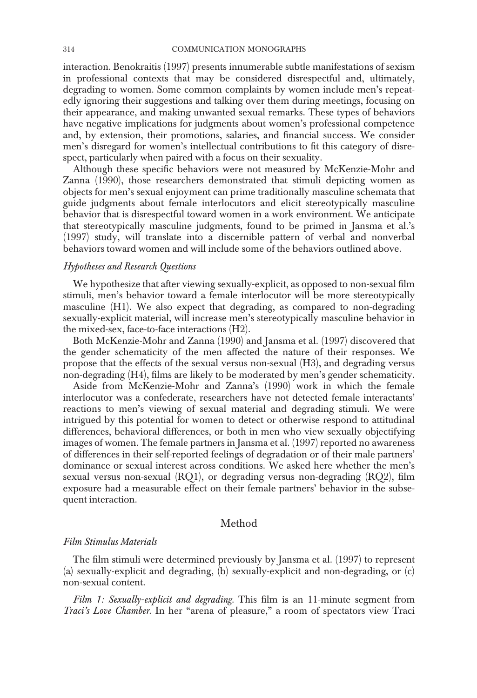interaction. Benokraitis (1997) presents innumerable subtle manifestations of sexism in professional contexts that may be considered disrespectful and, ultimately, degrading to women. Some common complaints by women include men's repeatedly ignoring their suggestions and talking over them during meetings, focusing on their appearance, and making unwanted sexual remarks. These types of behaviors have negative implications for judgments about women's professional competence and, by extension, their promotions, salaries, and financial success. We consider men's disregard for women's intellectual contributions to fit this category of disrespect, particularly when paired with a focus on their sexuality.

Although these specific behaviors were not measured by McKenzie-Mohr and Zanna (1990), those researchers demonstrated that stimuli depicting women as objects for men's sexual enjoyment can prime traditionally masculine schemata that guide judgments about female interlocutors and elicit stereotypically masculine behavior that is disrespectful toward women in a work environment. We anticipate that stereotypically masculine judgments, found to be primed in Jansma et al.'s (1997) study, will translate into a discernible pattern of verbal and nonverbal behaviors toward women and will include some of the behaviors outlined above.

#### *Hypotheses and Research Questions*

We hypothesize that after viewing sexually-explicit, as opposed to non-sexual film stimuli, men's behavior toward a female interlocutor will be more stereotypically masculine (H1). We also expect that degrading, as compared to non-degrading sexually-explicit material, will increase men's stereotypically masculine behavior in the mixed-sex, face-to-face interactions (H2).

Both McKenzie-Mohr and Zanna (1990) and Jansma et al. (1997) discovered that the gender schematicity of the men affected the nature of their responses. We propose that the effects of the sexual versus non-sexual (H3), and degrading versus non-degrading (H4), films are likely to be moderated by men's gender schematicity.

Aside from McKenzie-Mohr and Zanna's (1990) work in which the female interlocutor was a confederate, researchers have not detected female interactants' reactions to men's viewing of sexual material and degrading stimuli. We were intrigued by this potential for women to detect or otherwise respond to attitudinal differences, behavioral differences, or both in men who view sexually objectifying images of women. The female partners in Jansma et al. (1997) reported no awareness of differences in their self-reported feelings of degradation or of their male partners' dominance or sexual interest across conditions. We asked here whether the men's sexual versus non-sexual (RQ1), or degrading versus non-degrading (RQ2), film exposure had a measurable effect on their female partners' behavior in the subsequent interaction.

## Method

#### *Film Stimulus Materials*

The film stimuli were determined previously by Jansma et al. (1997) to represent (a) sexually-explicit and degrading, (b) sexually-explicit and non-degrading, or (c) non-sexual content.

*Film 1: Sexually-explicit and degrading.* This film is an 11-minute segment from *Traci's Love Chamber*. In her "arena of pleasure," a room of spectators view Traci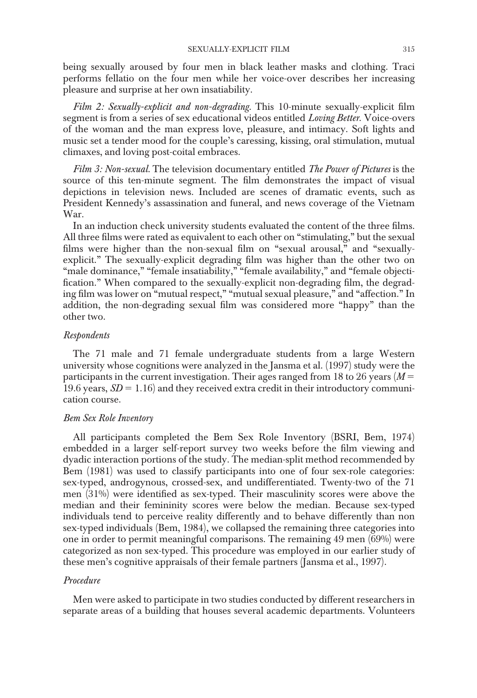being sexually aroused by four men in black leather masks and clothing. Traci performs fellatio on the four men while her voice-over describes her increasing pleasure and surprise at her own insatiability.

*Film 2: Sexually-explicit and non-degrading.* This 10-minute sexually-explicit film segment is from a series of sex educational videos entitled *Loving Better*. Voice-overs of the woman and the man express love, pleasure, and intimacy. Soft lights and music set a tender mood for the couple's caressing, kissing, oral stimulation, mutual climaxes, and loving post-coital embraces.

*Film 3: Non-sexual.* The television documentary entitled *The Power of Pictures* is the source of this ten-minute segment. The film demonstrates the impact of visual depictions in television news. Included are scenes of dramatic events, such as President Kennedy's assassination and funeral, and news coverage of the Vietnam War.

In an induction check university students evaluated the content of the three films. All three films were rated as equivalent to each other on "stimulating," but the sexual films were higher than the non-sexual film on "sexual arousal," and "sexuallyexplicit." The sexually-explicit degrading film was higher than the other two on "male dominance," "female insatiability," "female availability," and "female objectification." When compared to the sexually-explicit non-degrading film, the degrading film was lower on "mutual respect," "mutual sexual pleasure," and "affection." In addition, the non-degrading sexual film was considered more "happy" than the other two.

## *Respondents*

The 71 male and 71 female undergraduate students from a large Western university whose cognitions were analyzed in the Jansma et al. (1997) study were the participants in the current investigation. Their ages ranged from 18 to 26 years (*M* 19.6 years,  $SD = 1.16$ ) and they received extra credit in their introductory communication course.

## *Bem Sex Role Inventory*

All participants completed the Bem Sex Role Inventory (BSRI, Bem, 1974) embedded in a larger self-report survey two weeks before the film viewing and dyadic interaction portions of the study. The median-split method recommended by Bem (1981) was used to classify participants into one of four sex-role categories: sex-typed, androgynous, crossed-sex, and undifferentiated. Twenty-two of the 71 men (31%) were identified as sex-typed. Their masculinity scores were above the median and their femininity scores were below the median. Because sex-typed individuals tend to perceive reality differently and to behave differently than non sex-typed individuals (Bem, 1984), we collapsed the remaining three categories into one in order to permit meaningful comparisons. The remaining 49 men (69%) were categorized as non sex-typed. This procedure was employed in our earlier study of these men's cognitive appraisals of their female partners (Jansma et al., 1997).

#### *Procedure*

Men were asked to participate in two studies conducted by different researchers in separate areas of a building that houses several academic departments. Volunteers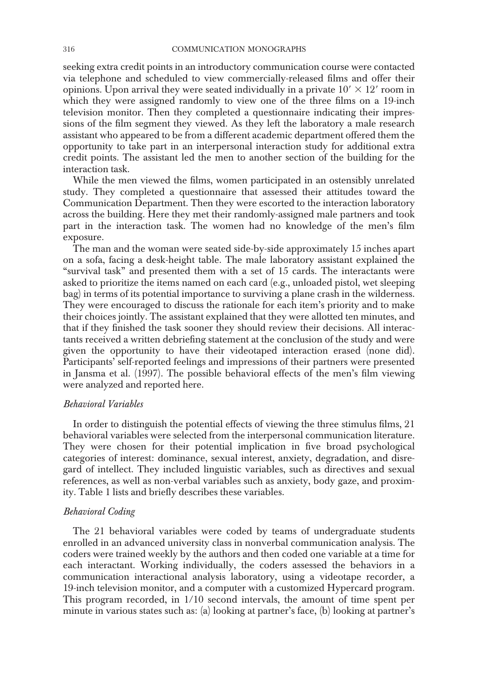seeking extra credit points in an introductory communication course were contacted via telephone and scheduled to view commercially-released films and offer their opinions. Upon arrival they were seated individually in a private  $10' \times 12'$  room in which they were assigned randomly to view one of the three films on a 19-inch television monitor. Then they completed a questionnaire indicating their impressions of the film segment they viewed. As they left the laboratory a male research assistant who appeared to be from a different academic department offered them the opportunity to take part in an interpersonal interaction study for additional extra credit points. The assistant led the men to another section of the building for the interaction task.

While the men viewed the films, women participated in an ostensibly unrelated study. They completed a questionnaire that assessed their attitudes toward the Communication Department. Then they were escorted to the interaction laboratory across the building. Here they met their randomly-assigned male partners and took part in the interaction task. The women had no knowledge of the men's film exposure.

The man and the woman were seated side-by-side approximately 15 inches apart on a sofa, facing a desk-height table. The male laboratory assistant explained the "survival task" and presented them with a set of 15 cards. The interactants were asked to prioritize the items named on each card (e.g., unloaded pistol, wet sleeping bag) in terms of its potential importance to surviving a plane crash in the wilderness. They were encouraged to discuss the rationale for each item's priority and to make their choices jointly. The assistant explained that they were allotted ten minutes, and that if they finished the task sooner they should review their decisions. All interactants received a written debriefing statement at the conclusion of the study and were given the opportunity to have their videotaped interaction erased (none did). Participants' self-reported feelings and impressions of their partners were presented in Jansma et al. (1997). The possible behavioral effects of the men's film viewing were analyzed and reported here.

## *Behavioral Variables*

In order to distinguish the potential effects of viewing the three stimulus films, 21 behavioral variables were selected from the interpersonal communication literature. They were chosen for their potential implication in five broad psychological categories of interest: dominance, sexual interest, anxiety, degradation, and disregard of intellect. They included linguistic variables, such as directives and sexual references, as well as non-verbal variables such as anxiety, body gaze, and proximity. Table 1 lists and briefly describes these variables.

#### *Behavioral Coding*

The 21 behavioral variables were coded by teams of undergraduate students enrolled in an advanced university class in nonverbal communication analysis. The coders were trained weekly by the authors and then coded one variable at a time for each interactant. Working individually, the coders assessed the behaviors in a communication interactional analysis laboratory, using a videotape recorder, a 19-inch television monitor, and a computer with a customized Hypercard program. This program recorded, in 1/10 second intervals, the amount of time spent per minute in various states such as: (a) looking at partner's face, (b) looking at partner's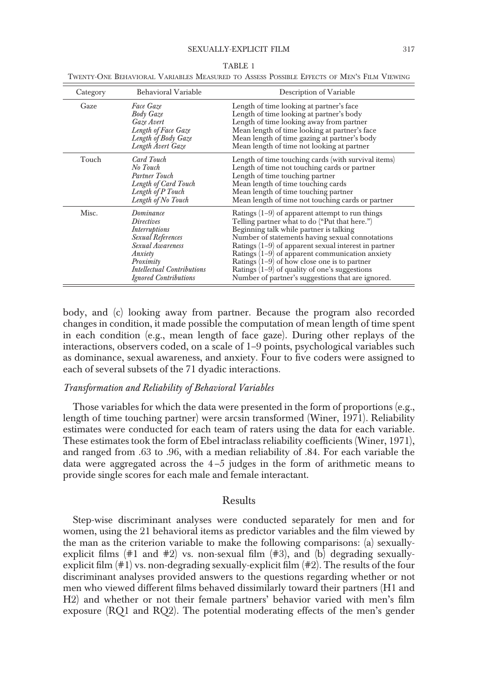#### SEXUALLY-EXPLICIT FILM 317

| Category | Behavioral Variable                                                                                                                                                                          | Description of Variable                                                                                                                                                                                                                                                                                                                                                                                                                                                   |
|----------|----------------------------------------------------------------------------------------------------------------------------------------------------------------------------------------------|---------------------------------------------------------------------------------------------------------------------------------------------------------------------------------------------------------------------------------------------------------------------------------------------------------------------------------------------------------------------------------------------------------------------------------------------------------------------------|
| Gaze     | Face Gaze<br><b>Body Gaze</b><br>Gaze Avert<br>Length of Face Gaze<br>Length of Body Gaze<br>Length Avert Gaze                                                                               | Length of time looking at partner's face<br>Length of time looking at partner's body<br>Length of time looking away from partner<br>Mean length of time looking at partner's face<br>Mean length of time gazing at partner's body<br>Mean length of time not looking at partner                                                                                                                                                                                           |
| Touch    | Card Touch<br>No Touch<br>Partner Touch<br>Length of Card Touch<br>Length of P Touch<br>Length of No Touch                                                                                   | Length of time touching cards (with survival items)<br>Length of time not touching cards or partner<br>Length of time touching partner<br>Mean length of time touching cards<br>Mean length of time touching partner<br>Mean length of time not touching cards or partner                                                                                                                                                                                                 |
| Misc.    | Dominance<br><i>Directives</i><br>Interruptions<br><b>Sexual References</b><br>Sexual Awareness<br>Anxiety<br>Proximity<br><b>Intellectual Contributions</b><br><b>Ignored Contributions</b> | Ratings $(1-9)$ of apparent attempt to run things<br>Telling partner what to do ("Put that here.")<br>Beginning talk while partner is talking<br>Number of statements having sexual connotations<br>Ratings $(1-9)$ of apparent sexual interest in partner<br>Ratings $(1-9)$ of apparent communication anxiety<br>Ratings $(1-9)$ of how close one is to partner<br>Ratings $(1-9)$ of quality of one's suggestions<br>Number of partner's suggestions that are ignored. |

TABLE 1

TWENTY-ONE BEHAVIORAL VARIABLES MEASURED TO ASSESS POSSIBLE EFFECTS OF MEN'S FILM VIEWING

body, and (c) looking away from partner. Because the program also recorded changes in condition, it made possible the computation of mean length of time spent in each condition (e.g., mean length of face gaze). During other replays of the interactions, observers coded, on a scale of 1–9 points, psychological variables such as dominance, sexual awareness, and anxiety. Four to five coders were assigned to each of several subsets of the 71 dyadic interactions.

#### *Transformation and Reliability of Behavioral Variables*

Those variables for which the data were presented in the form of proportions (e.g., length of time touching partner) were arcsin transformed (Winer, 1971). Reliability estimates were conducted for each team of raters using the data for each variable. These estimates took the form of Ebel intraclass reliability coefficients (Winer, 1971), and ranged from .63 to .96, with a median reliability of .84. For each variable the data were aggregated across the  $4-5$  judges in the form of arithmetic means to provide single scores for each male and female interactant.

#### Results

Step-wise discriminant analyses were conducted separately for men and for women, using the 21 behavioral items as predictor variables and the film viewed by the man as the criterion variable to make the following comparisons: (a) sexuallyexplicit films  $(H1 \text{ and } H2)$  vs. non-sexual film  $(H3)$ , and (b) degrading sexuallyexplicit film  $(\#1)$  vs. non-degrading sexually-explicit film  $(\#2)$ . The results of the four discriminant analyses provided answers to the questions regarding whether or not men who viewed different films behaved dissimilarly toward their partners (H1 and H2) and whether or not their female partners' behavior varied with men's film exposure (RQ1 and RQ2). The potential moderating effects of the men's gender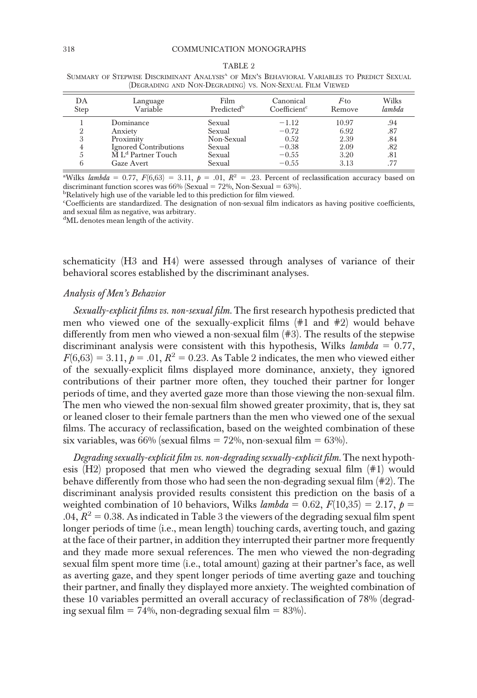#### TABLE 2

| DA                           | Language                                                                                                   | Film                                                         | Canonical                                                   | $F$ to                                        | Wilks                                  |
|------------------------------|------------------------------------------------------------------------------------------------------------|--------------------------------------------------------------|-------------------------------------------------------------|-----------------------------------------------|----------------------------------------|
| <b>Step</b>                  | Variable                                                                                                   | Predicted <sup>b</sup>                                       | Coefficient <sup>c</sup>                                    | Remove                                        | lambda                                 |
| 3<br>4<br>$\mathcal{L}$<br>6 | Dominance<br>Anxiety<br>Proximity<br>Ignored Contributions<br>M L <sup>d</sup> Partner Touch<br>Gaze Avert | Sexual<br>Sexual<br>Non-Sexual<br>Sexual<br>Sexual<br>Sexual | $-1.12$<br>$-0.72$<br>0.52<br>$-0.38$<br>$-0.55$<br>$-0.55$ | 10.97<br>6.92<br>2.39<br>2.09<br>3.20<br>3.13 | .94<br>.87<br>.84<br>.82<br>.81<br>.77 |

SUMMARY OF STEPWISE DISCRIMINANT ANALYSIS<sup>A</sup> OF MEN'S BEHAVIORAL VARIABLES TO PREDICT SEXUAL (DEGRADING AND NON-DEGRADING) VS. NON-SEXUAL FILM VIEWED

<sup>a</sup>Wilks *lambda* = 0.77,  $F(6,63) = 3.11$ ,  $p = .01$ ,  $R^2 = .23$ . Percent of reclassification accuracy based on discriminant function scores was  $66\%$  (Sexual =  $72\%$ , Non-Sexual =  $63\%$ ).

<sup>b</sup>Relatively high use of the variable led to this prediction for film viewed.

Coefficients are standardized. The designation of non-sexual film indicators as having positive coefficients, and sexual film as negative, was arbitrary.

ML denotes mean length of the activity.

schematicity (H3 and H4) were assessed through analyses of variance of their behavioral scores established by the discriminant analyses.

## *Analysis of Men's Behavior*

*Sexually-explicit films vs. non-sexual film.* The first research hypothesis predicted that men who viewed one of the sexually-explicit films (#1 and #2) would behave differently from men who viewed a non-sexual film (#3). The results of the stepwise discriminant analysis were consistent with this hypothesis, Wilks  $lambda = 0.77$ ,  $F(6,63) = 3.11, p = .01, R^2 = 0.23$ . As Table 2 indicates, the men who viewed either of the sexually-explicit films displayed more dominance, anxiety, they ignored contributions of their partner more often, they touched their partner for longer periods of time, and they averted gaze more than those viewing the non-sexual film. The men who viewed the non-sexual film showed greater proximity, that is, they sat or leaned closer to their female partners than the men who viewed one of the sexual films. The accuracy of reclassification, based on the weighted combination of these six variables, was  $66\%$  (sexual films =  $72\%$ , non-sexual film =  $63\%$ ).

*Degrading sexually-explicit film vs. non-degrading sexually-explicit film.* The next hypothesis (H2) proposed that men who viewed the degrading sexual film (#1) would behave differently from those who had seen the non-degrading sexual film (#2). The discriminant analysis provided results consistent this prediction on the basis of a weighted combination of 10 behaviors, Wilks  $lambda = 0.62$ ,  $F(10,35) = 2.17$ ,  $p =$  $.04, R^2 = 0.38$ . As indicated in Table 3 the viewers of the degrading sexual film spent longer periods of time (i.e., mean length) touching cards, averting touch, and gazing at the face of their partner, in addition they interrupted their partner more frequently and they made more sexual references. The men who viewed the non-degrading sexual film spent more time (i.e., total amount) gazing at their partner's face, as well as averting gaze, and they spent longer periods of time averting gaze and touching their partner, and finally they displayed more anxiety. The weighted combination of these 10 variables permitted an overall accuracy of reclassification of 78% (degrading sexual film  $= 74\%$ , non-degrading sexual film  $= 83\%$ .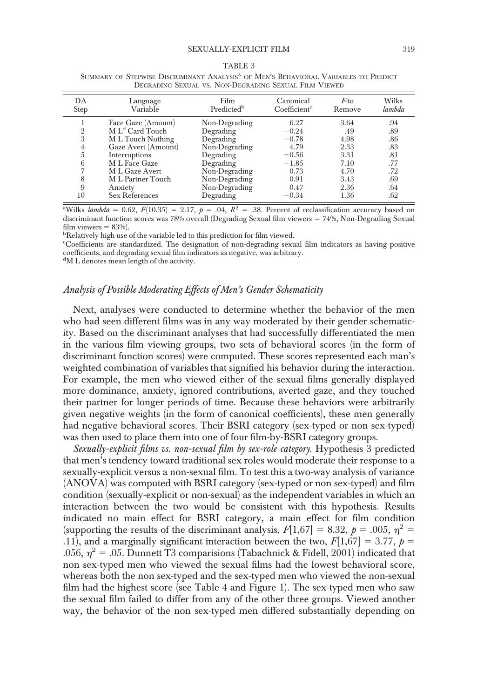| DEGRADING OEAUAL VS. IVON-DEGRADING OEAUAL ITEM VIEWED |                             |                                |                                       |                  |                 |
|--------------------------------------------------------|-----------------------------|--------------------------------|---------------------------------------|------------------|-----------------|
| DA<br>Step                                             | Language<br>Variable        | Film<br>Predicted <sup>b</sup> | Canonical<br>Coefficient <sup>c</sup> | $F$ to<br>Remove | Wilks<br>lambda |
|                                                        | Face Gaze (Amount)          | Non-Degrading                  | 6.27                                  | 3.64             | .94             |
| 2                                                      | M L <sup>d</sup> Card Touch | Degrading                      | $-0.24$                               | .49              | .89             |
| 3                                                      | M L Touch Nothing           | Degrading                      | $-0.78$                               | 4.98             | .86             |
| 4                                                      | Gaze Avert (Amount)         | Non-Degrading                  | 4.79                                  | 2.33             | .83             |
| 5                                                      | Interruptions               | Degrading                      | $-0.56$                               | 3.31             | .81             |
| 6                                                      | M L Face Gaze               | Degrading                      | $-1.85$                               | 7.10             | .77             |
|                                                        | M L Gaze Avert              | Non-Degrading                  | 0.73                                  | 4.70             | .72             |
| 8                                                      | M L Partner Touch           | Non-Degrading                  | 0.91                                  | 3.43             | .69             |
| 9                                                      | Anxiety                     | Non-Degrading                  | 0.47                                  | 2.36             | .64             |
| 10                                                     | Sex References              | Degrading                      | $-0.34$                               | 1.36             | .62             |

TABLE 3 SUMMARY OF STEPWISE DISCRIMINANT ANALYSIS<sup>A</sup> OF MEN'S BEHAVIORAL VARIABLES TO PREDICT DEGRADING SEXUAL VS. NON-DEGRADING SEVILAL FILM VIEWS

<sup>a</sup>Wilks *lambda* = 0.62,  $F(10.35)$  = 2.17,  $p$  = .04,  $R^2$  = .38. Percent of reclassification accuracy based on discriminant function scores was 78% overall (Degrading Sexual film viewers = 74%, Non-Degrading Sexual film viewers  $= 83\%$ ).

 ${}^{\rm b}$ Relatively high use of the variable led to this prediction for film viewed.

Coefficients are standardized. The designation of non-degrading sexual film indicators as having positive coefficients, and degrading sexual film indicators as negative, was arbitrary.

M L denotes mean length of the activity.

## *Analysis of Possible Moderating Effects of Men's Gender Schematicity*

Next, analyses were conducted to determine whether the behavior of the men who had seen different films was in any way moderated by their gender schematicity. Based on the discriminant analyses that had successfully differentiated the men in the various film viewing groups, two sets of behavioral scores (in the form of discriminant function scores) were computed. These scores represented each man's weighted combination of variables that signified his behavior during the interaction. For example, the men who viewed either of the sexual films generally displayed more dominance, anxiety, ignored contributions, averted gaze, and they touched their partner for longer periods of time. Because these behaviors were arbitrarily given negative weights (in the form of canonical coefficients), these men generally had negative behavioral scores. Their BSRI category (sex-typed or non sex-typed) was then used to place them into one of four film-by-BSRI category groups.

*Sexually-explicit films vs. non-sexual film by sex-role category*. Hypothesis 3 predicted that men's tendency toward traditional sex roles would moderate their response to a sexually-explicit versus a non-sexual film. To test this a two-way analysis of variance (ANOVA) was computed with BSRI category (sex-typed or non sex-typed) and film condition (sexually-explicit or non-sexual) as the independent variables in which an interaction between the two would be consistent with this hypothesis. Results indicated no main effect for BSRI category, a main effect for film condition (supporting the results of the discriminant analysis,  $F[1,67] = 8.32$ ,  $p = .005$ ,  $\eta^2 =$ .11), and a marginally significant interaction between the two,  $F[1,67] = 3.77$ ,  $p =$ .056,  $\eta^2$  = .05. Dunnett T3 comparisions (Tabachnick & Fidell, 2001) indicated that non sex-typed men who viewed the sexual films had the lowest behavioral score, whereas both the non sex-typed and the sex-typed men who viewed the non-sexual film had the highest score (see Table 4 and Figure 1). The sex-typed men who saw the sexual film failed to differ from any of the other three groups. Viewed another way, the behavior of the non sex-typed men differed substantially depending on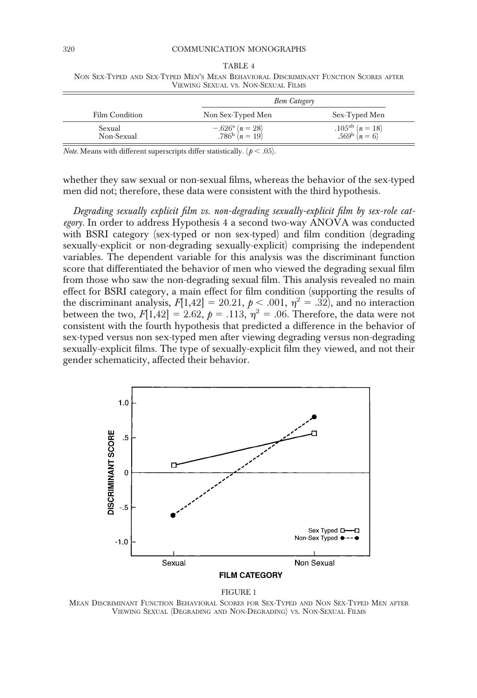| VIEWING SEXUAL VS. NON-SEXUAL FILMS |                                                            |                                                                          |  |  |
|-------------------------------------|------------------------------------------------------------|--------------------------------------------------------------------------|--|--|
|                                     | <b>Bem Category</b>                                        |                                                                          |  |  |
| Film Condition                      | Non Sex-Typed Men                                          | Sex-Typed Men                                                            |  |  |
| Sexual<br>Non-Sexual                | $-.626^{\rm a}$ $(n = 28)$<br>.786 <sup>b</sup> $(n = 19)$ | .105 <sup>ab</sup> ( <i>n</i> = 18)<br>.569 <sup>b</sup> ( <i>n</i> = 6) |  |  |

TABLE 4 NON SEX-TYPED AND SEX-TYPED MEN'S MEAN BEHAVIORAL DISCRIMINANT FUNCTION SCORES AFTER

*Note.* Means with different superscripts differ statistically. ( $p < .05$ ).

whether they saw sexual or non-sexual films, whereas the behavior of the sex-typed men did not; therefore, these data were consistent with the third hypothesis.

*Degrading sexually explicit film vs. non-degrading sexually-explicit film by sex-role category.* In order to address Hypothesis 4 a second two-way ANOVA was conducted with BSRI category (sex-typed or non sex-typed) and film condition (degrading sexually-explicit or non-degrading sexually-explicit) comprising the independent variables. The dependent variable for this analysis was the discriminant function score that differentiated the behavior of men who viewed the degrading sexual film from those who saw the non-degrading sexual film. This analysis revealed no main effect for BSRI category, a main effect for film condition (supporting the results of the discriminant analysis,  $F[1,42] = 20.21$ ,  $p < .001$ ,  $\eta^2 = .32$ ), and no interaction between the two,  $F[1,42] = 2.62$ ,  $p = .113$ ,  $q^2 = .06$ . Therefore, the data were not consistent with the fourth hypothesis that predicted a difference in the behavior of sex-typed versus non sex-typed men after viewing degrading versus non-degrading sexually-explicit films. The type of sexually-explicit film they viewed, and not their gender schematicity, affected their behavior.



FIGURE 1

MEAN DISCRIMINANT FUNCTION BEHAVIORAL SCORES FOR SEX-TYPED AND NON SEX-TYPED MEN AFTER VIEWING SEXUAL (DEGRADING AND NON-DEGRADING) VS. NON-SEXUAL FILMS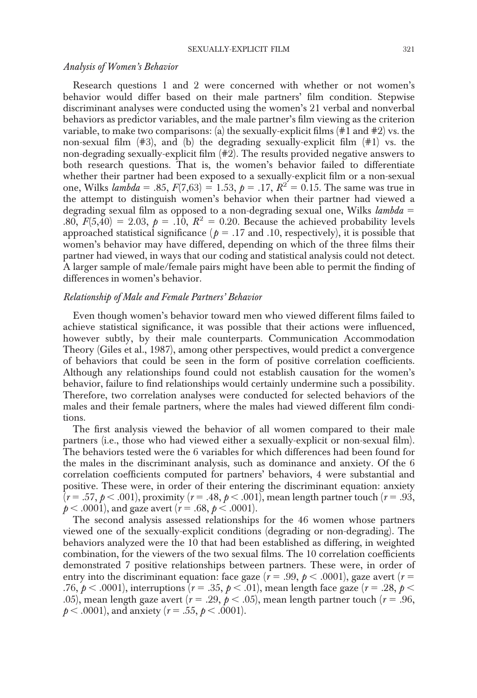#### *Analysis of Women's Behavior*

Research questions 1 and 2 were concerned with whether or not women's behavior would differ based on their male partners' film condition. Stepwise discriminant analyses were conducted using the women's 21 verbal and nonverbal behaviors as predictor variables, and the male partner's film viewing as the criterion variable, to make two comparisons: (a) the sexually-explicit films  $(\#1 \text{ and } \#2)$  vs. the non-sexual film  $(\#3)$ , and (b) the degrading sexually-explicit film  $(\#1)$  vs. the non-degrading sexually-explicit film (#2). The results provided negative answers to both research questions. That is, the women's behavior failed to differentiate whether their partner had been exposed to a sexually-explicit film or a non-sexual one, Wilks *lambda* = .85,  $F(7,63) = 1.53$ ,  $p = .17$ ,  $R^2 = 0.15$ . The same was true in the attempt to distinguish women's behavior when their partner had viewed a degrading sexual film as opposed to a non-degrading sexual one, Wilks *lambda* .80,  $F(5,40) = 2.03$ ,  $p = .10$ ,  $R^2 = 0.20$ . Because the achieved probability levels approached statistical significance ( $p = .17$  and .10, respectively), it is possible that women's behavior may have differed, depending on which of the three films their partner had viewed, in ways that our coding and statistical analysis could not detect. A larger sample of male/female pairs might have been able to permit the finding of differences in women's behavior.

#### *Relationship of Male and Female Partners' Behavior*

Even though women's behavior toward men who viewed different films failed to achieve statistical significance, it was possible that their actions were influenced, however subtly, by their male counterparts. Communication Accommodation Theory (Giles et al., 1987), among other perspectives, would predict a convergence of behaviors that could be seen in the form of positive correlation coefficients. Although any relationships found could not establish causation for the women's behavior, failure to find relationships would certainly undermine such a possibility. Therefore, two correlation analyses were conducted for selected behaviors of the males and their female partners, where the males had viewed different film conditions.

The first analysis viewed the behavior of all women compared to their male partners (i.e., those who had viewed either a sexually-explicit or non-sexual film). The behaviors tested were the 6 variables for which differences had been found for the males in the discriminant analysis, such as dominance and anxiety. Of the 6 correlation coefficients computed for partners' behaviors, 4 were substantial and positive. These were, in order of their entering the discriminant equation: anxiety  $(r = .57, p < .001)$ , proximity  $(r = .48, p < .001)$ , mean length partner touch  $(r = .93,$  $p < .0001$ ), and gaze avert ( $r = .68$ ,  $p < .0001$ ).

The second analysis assessed relationships for the 46 women whose partners viewed one of the sexually-explicit conditions (degrading or non-degrading). The behaviors analyzed were the 10 that had been established as differing, in weighted combination, for the viewers of the two sexual films. The 10 correlation coefficients demonstrated 7 positive relationships between partners. These were, in order of entry into the discriminant equation: face gaze  $(r = .99, p < .0001)$ , gaze avert  $(r = .0001)$ .76,  $p < .0001$ ), interruptions ( $r = .35$ ,  $p < .01$ ), mean length face gaze ( $r = .28$ ,  $p < .0001$ ) .05), mean length gaze avert ( $r = .29$ ,  $p < .05$ ), mean length partner touch ( $r = .96$ ,  $p < .0001$ ), and anxiety ( $r = .55$ ,  $p < .0001$ ).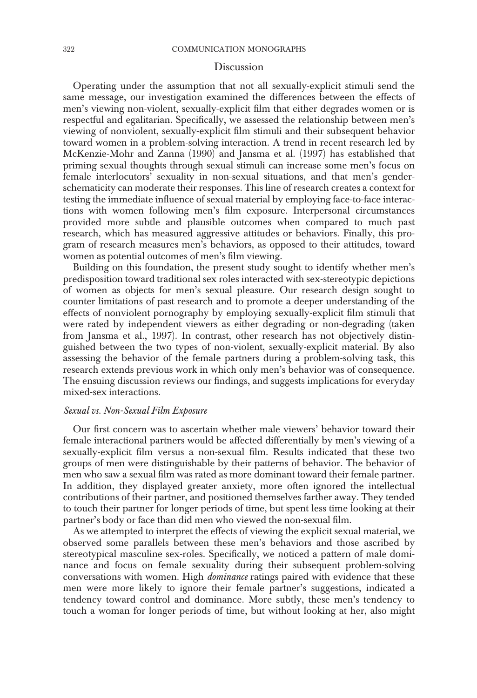#### Discussion

Operating under the assumption that not all sexually-explicit stimuli send the same message, our investigation examined the differences between the effects of men's viewing non-violent, sexually-explicit film that either degrades women or is respectful and egalitarian. Specifically, we assessed the relationship between men's viewing of nonviolent, sexually-explicit film stimuli and their subsequent behavior toward women in a problem-solving interaction. A trend in recent research led by McKenzie-Mohr and Zanna (1990) and Jansma et al. (1997) has established that priming sexual thoughts through sexual stimuli can increase some men's focus on female interlocutors' sexuality in non-sexual situations, and that men's genderschematicity can moderate their responses. This line of research creates a context for testing the immediate influence of sexual material by employing face-to-face interactions with women following men's film exposure. Interpersonal circumstances provided more subtle and plausible outcomes when compared to much past research, which has measured aggressive attitudes or behaviors. Finally, this program of research measures men's behaviors, as opposed to their attitudes, toward women as potential outcomes of men's film viewing.

Building on this foundation, the present study sought to identify whether men's predisposition toward traditional sex roles interacted with sex-stereotypic depictions of women as objects for men's sexual pleasure. Our research design sought to counter limitations of past research and to promote a deeper understanding of the effects of nonviolent pornography by employing sexually-explicit film stimuli that were rated by independent viewers as either degrading or non-degrading (taken from Jansma et al., 1997). In contrast, other research has not objectively distinguished between the two types of non-violent, sexually-explicit material. By also assessing the behavior of the female partners during a problem-solving task, this research extends previous work in which only men's behavior was of consequence. The ensuing discussion reviews our findings, and suggests implications for everyday mixed-sex interactions.

#### *Sexual vs. Non-Sexual Film Exposure*

Our first concern was to ascertain whether male viewers' behavior toward their female interactional partners would be affected differentially by men's viewing of a sexually-explicit film versus a non-sexual film. Results indicated that these two groups of men were distinguishable by their patterns of behavior. The behavior of men who saw a sexual film was rated as more dominant toward their female partner. In addition, they displayed greater anxiety, more often ignored the intellectual contributions of their partner, and positioned themselves farther away. They tended to touch their partner for longer periods of time, but spent less time looking at their partner's body or face than did men who viewed the non-sexual film.

As we attempted to interpret the effects of viewing the explicit sexual material, we observed some parallels between these men's behaviors and those ascribed by stereotypical masculine sex-roles. Specifically, we noticed a pattern of male dominance and focus on female sexuality during their subsequent problem-solving conversations with women. High *dominance* ratings paired with evidence that these men were more likely to ignore their female partner's suggestions, indicated a tendency toward control and dominance. More subtly, these men's tendency to touch a woman for longer periods of time, but without looking at her, also might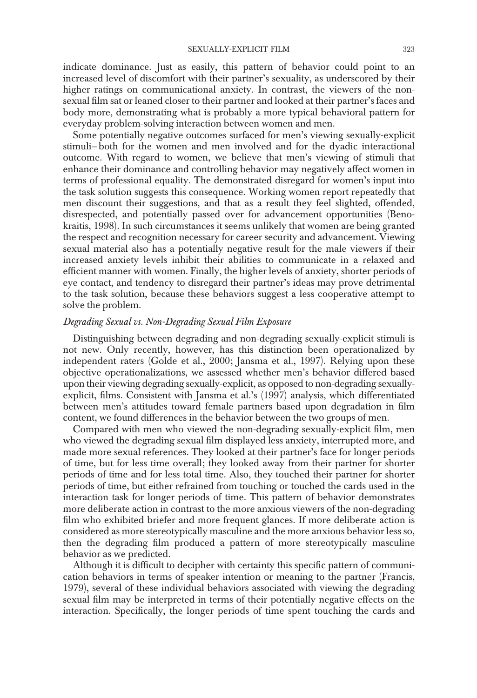indicate dominance. Just as easily, this pattern of behavior could point to an increased level of discomfort with their partner's sexuality, as underscored by their higher ratings on communicational anxiety. In contrast, the viewers of the nonsexual film sat or leaned closer to their partner and looked at their partner's faces and body more, demonstrating what is probably a more typical behavioral pattern for everyday problem-solving interaction between women and men.

Some potentially negative outcomes surfaced for men's viewing sexually-explicit stimuli—both for the women and men involved and for the dyadic interactional outcome. With regard to women, we believe that men's viewing of stimuli that enhance their dominance and controlling behavior may negatively affect women in terms of professional equality. The demonstrated disregard for women's input into the task solution suggests this consequence. Working women report repeatedly that men discount their suggestions, and that as a result they feel slighted, offended, disrespected, and potentially passed over for advancement opportunities (Benokraitis, 1998). In such circumstances it seems unlikely that women are being granted the respect and recognition necessary for career security and advancement. Viewing sexual material also has a potentially negative result for the male viewers if their increased anxiety levels inhibit their abilities to communicate in a relaxed and efficient manner with women. Finally, the higher levels of anxiety, shorter periods of eye contact, and tendency to disregard their partner's ideas may prove detrimental to the task solution, because these behaviors suggest a less cooperative attempt to solve the problem.

## *Degrading Sexual vs. Non-Degrading Sexual Film Exposure*

Distinguishing between degrading and non-degrading sexually-explicit stimuli is not new. Only recently, however, has this distinction been operationalized by independent raters (Golde et al., 2000; Jansma et al., 1997). Relying upon these objective operationalizations, we assessed whether men's behavior differed based upon their viewing degrading sexually-explicit, as opposed to non-degrading sexuallyexplicit, films. Consistent with Jansma et al.'s (1997) analysis, which differentiated between men's attitudes toward female partners based upon degradation in film content, we found differences in the behavior between the two groups of men.

Compared with men who viewed the non-degrading sexually-explicit film, men who viewed the degrading sexual film displayed less anxiety, interrupted more, and made more sexual references. They looked at their partner's face for longer periods of time, but for less time overall; they looked away from their partner for shorter periods of time and for less total time. Also, they touched their partner for shorter periods of time, but either refrained from touching or touched the cards used in the interaction task for longer periods of time. This pattern of behavior demonstrates more deliberate action in contrast to the more anxious viewers of the non-degrading film who exhibited briefer and more frequent glances. If more deliberate action is considered as more stereotypically masculine and the more anxious behavior less so, then the degrading film produced a pattern of more stereotypically masculine behavior as we predicted.

Although it is difficult to decipher with certainty this specific pattern of communication behaviors in terms of speaker intention or meaning to the partner (Francis, 1979), several of these individual behaviors associated with viewing the degrading sexual film may be interpreted in terms of their potentially negative effects on the interaction. Specifically, the longer periods of time spent touching the cards and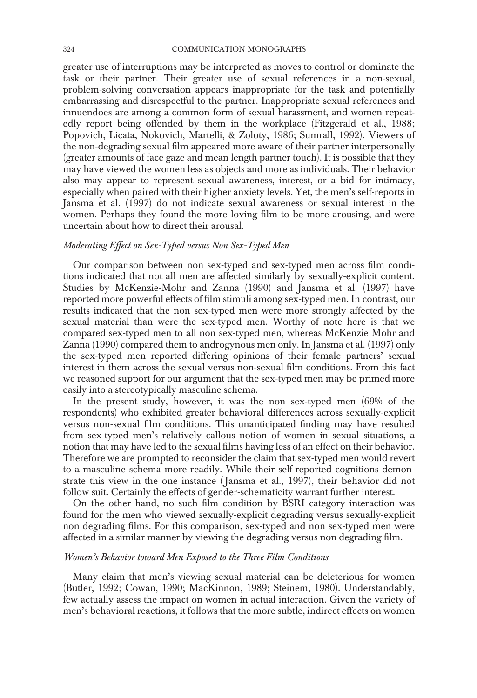greater use of interruptions may be interpreted as moves to control or dominate the task or their partner. Their greater use of sexual references in a non-sexual, problem-solving conversation appears inappropriate for the task and potentially embarrassing and disrespectful to the partner. Inappropriate sexual references and innuendoes are among a common form of sexual harassment, and women repeatedly report being offended by them in the workplace (Fitzgerald et al., 1988; Popovich, Licata, Nokovich, Martelli, & Zoloty, 1986; Sumrall, 1992). Viewers of the non-degrading sexual film appeared more aware of their partner interpersonally (greater amounts of face gaze and mean length partner touch). It is possible that they may have viewed the women less as objects and more as individuals. Their behavior also may appear to represent sexual awareness, interest, or a bid for intimacy, especially when paired with their higher anxiety levels. Yet, the men's self-reports in Jansma et al. (1997) do not indicate sexual awareness or sexual interest in the women. Perhaps they found the more loving film to be more arousing, and were uncertain about how to direct their arousal.

#### *Moderating Effect on Sex-Typed versus Non Sex-Typed Men*

Our comparison between non sex-typed and sex-typed men across film conditions indicated that not all men are affected similarly by sexually-explicit content. Studies by McKenzie-Mohr and Zanna (1990) and Jansma et al. (1997) have reported more powerful effects of film stimuli among sex-typed men. In contrast, our results indicated that the non sex-typed men were more strongly affected by the sexual material than were the sex-typed men. Worthy of note here is that we compared sex-typed men to all non sex-typed men, whereas McKenzie Mohr and Zanna (1990) compared them to androgynous men only. In Jansma et al. (1997) only the sex-typed men reported differing opinions of their female partners' sexual interest in them across the sexual versus non-sexual film conditions. From this fact we reasoned support for our argument that the sex-typed men may be primed more easily into a stereotypically masculine schema.

In the present study, however, it was the non sex-typed men (69% of the respondents) who exhibited greater behavioral differences across sexually-explicit versus non-sexual film conditions. This unanticipated finding may have resulted from sex-typed men's relatively callous notion of women in sexual situations, a notion that may have led to the sexual films having less of an effect on their behavior. Therefore we are prompted to reconsider the claim that sex-typed men would revert to a masculine schema more readily. While their self-reported cognitions demonstrate this view in the one instance ( Jansma et al., 1997), their behavior did not follow suit. Certainly the effects of gender-schematicity warrant further interest.

On the other hand, no such film condition by BSRI category interaction was found for the men who viewed sexually-explicit degrading versus sexually-explicit non degrading films. For this comparison, sex-typed and non sex-typed men were affected in a similar manner by viewing the degrading versus non degrading film.

#### *Women's Behavior toward Men Exposed to the Three Film Conditions*

Many claim that men's viewing sexual material can be deleterious for women (Butler, 1992; Cowan, 1990; MacKinnon, 1989; Steinem, 1980). Understandably, few actually assess the impact on women in actual interaction. Given the variety of men's behavioral reactions, it follows that the more subtle, indirect effects on women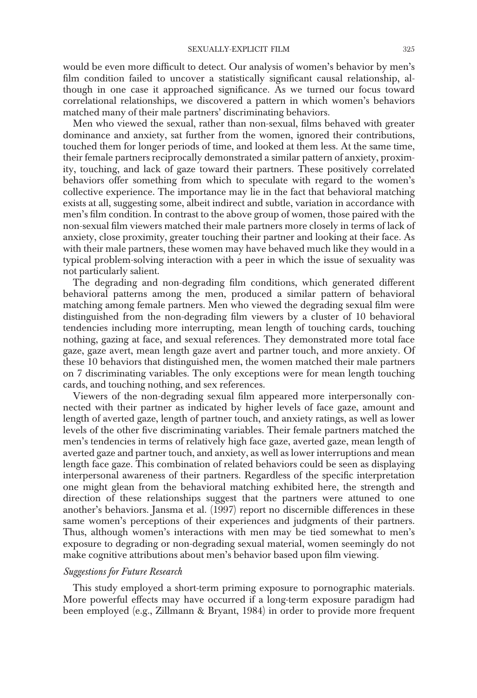would be even more difficult to detect. Our analysis of women's behavior by men's film condition failed to uncover a statistically significant causal relationship, although in one case it approached significance. As we turned our focus toward correlational relationships, we discovered a pattern in which women's behaviors matched many of their male partners' discriminating behaviors.

Men who viewed the sexual, rather than non-sexual, films behaved with greater dominance and anxiety, sat further from the women, ignored their contributions, touched them for longer periods of time, and looked at them less. At the same time, their female partners reciprocally demonstrated a similar pattern of anxiety, proximity, touching, and lack of gaze toward their partners. These positively correlated behaviors offer something from which to speculate with regard to the women's collective experience. The importance may lie in the fact that behavioral matching exists at all, suggesting some, albeit indirect and subtle, variation in accordance with men's film condition. In contrast to the above group of women, those paired with the non-sexual film viewers matched their male partners more closely in terms of lack of anxiety, close proximity, greater touching their partner and looking at their face. As with their male partners, these women may have behaved much like they would in a typical problem-solving interaction with a peer in which the issue of sexuality was not particularly salient.

The degrading and non-degrading film conditions, which generated different behavioral patterns among the men, produced a similar pattern of behavioral matching among female partners. Men who viewed the degrading sexual film were distinguished from the non-degrading film viewers by a cluster of 10 behavioral tendencies including more interrupting, mean length of touching cards, touching nothing, gazing at face, and sexual references. They demonstrated more total face gaze, gaze avert, mean length gaze avert and partner touch, and more anxiety. Of these 10 behaviors that distinguished men, the women matched their male partners on 7 discriminating variables. The only exceptions were for mean length touching cards, and touching nothing, and sex references.

Viewers of the non-degrading sexual film appeared more interpersonally connected with their partner as indicated by higher levels of face gaze, amount and length of averted gaze, length of partner touch, and anxiety ratings, as well as lower levels of the other five discriminating variables. Their female partners matched the men's tendencies in terms of relatively high face gaze, averted gaze, mean length of averted gaze and partner touch, and anxiety, as well as lower interruptions and mean length face gaze. This combination of related behaviors could be seen as displaying interpersonal awareness of their partners. Regardless of the specific interpretation one might glean from the behavioral matching exhibited here, the strength and direction of these relationships suggest that the partners were attuned to one another's behaviors. Jansma et al. (1997) report no discernible differences in these same women's perceptions of their experiences and judgments of their partners. Thus, although women's interactions with men may be tied somewhat to men's exposure to degrading or non-degrading sexual material, women seemingly do not make cognitive attributions about men's behavior based upon film viewing.

#### *Suggestions for Future Research*

This study employed a short-term priming exposure to pornographic materials. More powerful effects may have occurred if a long-term exposure paradigm had been employed (e.g., Zillmann & Bryant, 1984) in order to provide more frequent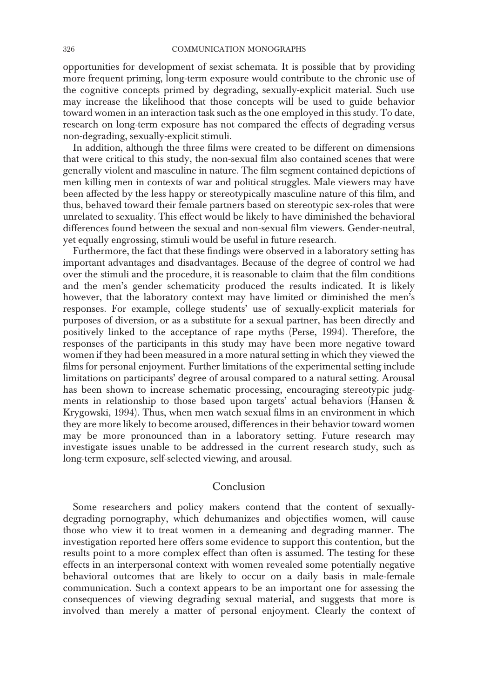opportunities for development of sexist schemata. It is possible that by providing more frequent priming, long-term exposure would contribute to the chronic use of the cognitive concepts primed by degrading, sexually-explicit material. Such use may increase the likelihood that those concepts will be used to guide behavior toward women in an interaction task such as the one employed in this study. To date, research on long-term exposure has not compared the effects of degrading versus non-degrading, sexually-explicit stimuli.

In addition, although the three films were created to be different on dimensions that were critical to this study, the non-sexual film also contained scenes that were generally violent and masculine in nature. The film segment contained depictions of men killing men in contexts of war and political struggles. Male viewers may have been affected by the less happy or stereotypically masculine nature of this film, and thus, behaved toward their female partners based on stereotypic sex-roles that were unrelated to sexuality. This effect would be likely to have diminished the behavioral differences found between the sexual and non-sexual film viewers. Gender-neutral, yet equally engrossing, stimuli would be useful in future research.

Furthermore, the fact that these findings were observed in a laboratory setting has important advantages and disadvantages. Because of the degree of control we had over the stimuli and the procedure, it is reasonable to claim that the film conditions and the men's gender schematicity produced the results indicated. It is likely however, that the laboratory context may have limited or diminished the men's responses. For example, college students' use of sexually-explicit materials for purposes of diversion, or as a substitute for a sexual partner, has been directly and positively linked to the acceptance of rape myths (Perse, 1994). Therefore, the responses of the participants in this study may have been more negative toward women if they had been measured in a more natural setting in which they viewed the films for personal enjoyment. Further limitations of the experimental setting include limitations on participants' degree of arousal compared to a natural setting. Arousal has been shown to increase schematic processing, encouraging stereotypic judgments in relationship to those based upon targets' actual behaviors (Hansen & Krygowski, 1994). Thus, when men watch sexual films in an environment in which they are more likely to become aroused, differences in their behavior toward women may be more pronounced than in a laboratory setting. Future research may investigate issues unable to be addressed in the current research study, such as long-term exposure, self-selected viewing, and arousal.

## Conclusion

Some researchers and policy makers contend that the content of sexuallydegrading pornography, which dehumanizes and objectifies women, will cause those who view it to treat women in a demeaning and degrading manner. The investigation reported here offers some evidence to support this contention, but the results point to a more complex effect than often is assumed. The testing for these effects in an interpersonal context with women revealed some potentially negative behavioral outcomes that are likely to occur on a daily basis in male-female communication. Such a context appears to be an important one for assessing the consequences of viewing degrading sexual material, and suggests that more is involved than merely a matter of personal enjoyment. Clearly the context of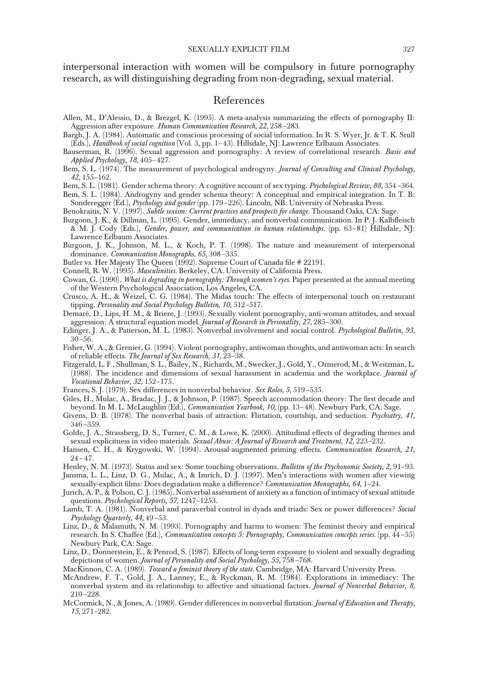# interpersonal interaction with women will be compulsory in future pornography research, as will distinguishing degrading from non-degrading, sexual material.

## References

- Allen, M., D'Alessio, D., & Brezgel, K. (1995). A meta-analysis summarizing the effects of pornography II: Aggression after exposure. *Human Communication Research, 22,* 258–283.
- Bargh, J. A. (1984). Automatic and conscious processing of social information. In R. S. Wyer, Jr. & T. K. Srull (Eds.), *Handbook of social cognition* (Vol. 3, pp. 1–43). Hillsdale, NJ: Lawrence Erlbaum Associates.
- Bauserman, R. (1996). Sexual aggression and pornography: A review of correlational research. *Basic and Applied Psychology, 18,* 405–427.
- Bem, S. L. (1974). The measurement of psychological androgyny. *Journal of Consulting and Clinical Psychology, 42,* 155–162.
- Bem, S. L. (1981). Gender schema theory: A cognitive account of sex typing. *Psychological Review, 88,* 354–364.
- Bem, S. L. (1984). Androgyny and gender schema theory: A conceptual and empirical integration. In T. B: Sonderegger (Ed.), *Psychology and gender* (pp. 179–226). Lincoln, NB: University of Nebraska Press.
- Benokraitis, N. V. (1997). *Subtle sexism: Current practices and prospects for change.* Thousand Oaks, CA: Sage.
- Burgoon, J. K., & Dillman, L. (1995). Gender, immediacy, and nonverbal communication. In P. J. Kalbfleisch & M. J. Cody (Eds.), *Gender, power, and communication in human relationships.* (pp. 63–81) Hillsdale, NJ: Lawrence Erlbaum Associates.
- Burgoon, J. K., Johnson, M. L., & Koch, P. T. (1998). The nature and measurement of interpersonal dominance. *Communication Monographs, 65,* 308–335.
- Butler vs. Her Majesty The Queen (1992). Supreme Court of Canada file # 22191.
- Connell, R. W. (1995). *Masculinities.* Berkeley, CA. University of California Press.
- Cowan, G. (1990). *What is degrading in pornography: Through women's eyes.* Paper presented at the annual meeting of the Western Psychological Association, Los Angeles, CA.
- Crusco, A. H., & Weizel, C. G. (1984). The Midas touch: The effects of interpersonal touch on restaurant tipping. *Personality and Social Psychology Bulletin, 10,* 512–517.
- Demaré, D., Lips, H. M., & Briere, J. (1993). Sexually violent pornography, anti-woman attitudes, and sexual aggression: A structural equation model. *Journal of Research in Personality, 27,* 285–300.
- Edinger, J. A., & Patterson, M. L. (1983). Nonverbal involvement and social control. *Psychological Bulletin, 93,* 30–56.
- Fisher, W. A., & Grenier, G. (1994). Violent pornography, antiwoman thoughts, and antiwoman acts: In search of reliable effects. *The Journal of Sex Research, 31,* 23–38.
- Fitzgerald, L. F., Shullman, S. L., Bailey, N., Richards, M., Swecker, J., Gold, Y., Ormerod, M., & Weitzman, L. (1988). The incidence and dimensions of sexual harassment in academia and the workplace. *Journal of Vocational Behavior, 32,* 152–175.
- Frances, S. J. (1979). Sex differences in nonverbal behavior. *Sex Roles, 5,* 519–535.
- Giles, H., Mulac, A., Bradac, J. J., & Johnson, P. (1987). Speech accommodation theory: The first decade and beyond. In M. L. McLaughlin (Ed.), *Communication Yearbook, 10,* (pp. 13–48). Newbury Park, CA: Sage.
- Givens, D. B. (1978). The nonverbal basis of attraction: Flirtation, courtship, and seduction. *Psychiatry, 41,* 346–359.
- Golde, J. A., Strassberg, D. S., Turner, C. M., & Lowe, K. (2000). Attitudinal effects of degrading themes and sexual explicitness in video materials. *Sexual Abuse: A Journal of Research and Treatment, 12,* 223–232.
- Hansen, C. H., & Krygowski, W. (1994). Arousal-augmented priming effects. *Communication Research, 21,* 24–47.
- Henley, N. M. (1973). Status and sex: Some touching observations. *Bulletin of the Psychonomic Society, 2,* 91–93.
- Jansma, L. L., Linz, D. G., Mulac, A., & Imrich, D. J. (1997). Men's interactions with women after viewing sexually-explicit films: Does degradation make a difference? *Communication Monographs, 64,* 1–24.
- Jurich, A. P., & Polson, C. J. (1985). Nonverbal assessment of anxiety as a function of intimacy of sexual attitude questions. *Psychological Reports, 57,* 1247–1253.
- Lamb, T. A. (1981). Nonverbal and paraverbal control in dyads and triads: Sex or power differences? *Social Psychology Quarterly, 44,* 49–53.
- Linz, D., & Malamuth, N. M. (1993). Pornography and harms to women: The feminist theory and empirical research. In S. Chaffee (Ed.), *Communication concepts 5: Pornography, Communication concepts series.* (pp. 44–55) Newbury Park, CA: Sage.
- Linz, D., Donnerstein, E., & Penrod, S. (1987). Effects of long-term exposure to violent and sexually degrading depictions of women. *Journal of Personality and Social Psychology, 55,* 758–768.
- MacKinnon, C. A. (1989). *Toward a feminist theory of the state.* Cambridge, MA: Harvard University Press.
- McAndrew, F. T., Gold, J. A., Lanney, E., & Ryckman, R. M. (1984). Explorations in immediacy: The nonverbal system and its relationship to affective and situational factors. *Journal of Nonverbal Behavior, 8,* 210–228.
- McCormick, N., & Jones, A. (1989). Gender differences in nonverbal flirtation. *Journal of Education and Therapy, 15,* 271–282.